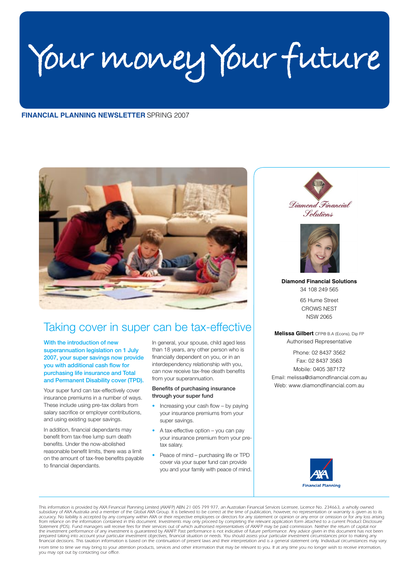Your money Your future

# **FINANCIAL PLANNING NEWSLETTER SPRING 2007**



# Taking cover in super can be tax-effective

With the introduction of new superannuation legislation on 1 July 2007, your super savings now provide you with additional cash flow for purchasing life insurance and Total and Permanent Disability cover (TPD).

Your super fund can tax-effectively cover insurance premiums in a number of ways. These include using pre-tax dollars from salary sacrifice or employer contributions, and using existing super savings.

In addition, financial dependants may benefit from tax-free lump sum death benefits. Under the now-abolished reasonable benefit limits, there was a limit on the amount of tax-free benefits payable to financial dependants.

In general, your spouse, child aged less than 18 years, any other person who is financially dependent on you, or in an interdependency relationship with you, can now receive tax-free death benefits from your superannuation.

#### Benefits of purchasing insurance through your super fund

- Increasing your cash flow by paying  $\bullet$ your insurance premiums from your super savings.
- A tax-effective option you can pay your insurance premium from your pretax salary
- Peace of mind purchasing life or TPD cover via your super fund can provide you and your family with peace of mind.





**Diamond Financial Solutions** 34 108 249 565

> 65 Hume Street **CROWS NEST NSW 2065**

Melissa Gilbert CFP® B.A (Econs), Dip FP Authorised Representative

Phone: 02 8437 3562 Fax: 02 8437 3563 Mobile: 0405 387172 Email: melissa@diamondfinancial.com.au Web: www.diamondfinancial.com.au



This information is provided by AXA Financial Planning Limited (AXAFP) ABN 21 005 799 977, an Australian Financial Services Licensee, Licence No. 234663, a wholly owned Instruction is provided by AXA Financial Framming umited (AXAF) And ASS 21 0057 7977, an Australian Financial Services Licence No. 234665, alternation or Syrum and a member of the Global AXA Group. It is believed to be cor Le investment performance of any investment is guaranteed by AXAFP. Past performance is not indicative of future performance. Any advice given in this document has not been<br>prepared taking into account your particular inve financial decisions. This taxation information is based on the continuation of present laws and their interpretation and is a general statement only. Individual circumstances may vary.

From time to time we may bring to your attention products, services and other information that may be relevant to you. If at any time you no longer wish to receive information you may opt out by contacting our office.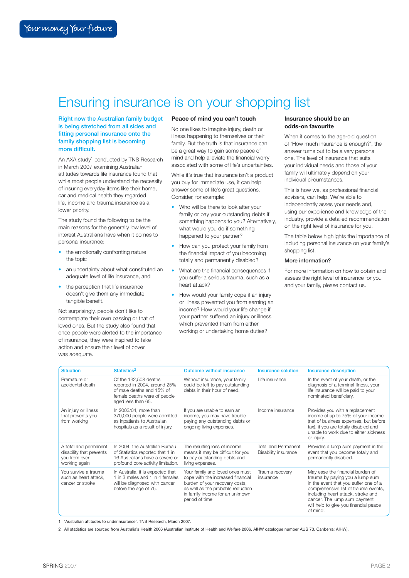# Ensuring insurance is on your shopping list

**Right now the Australian family budget** is being stretched from all sides and fitting personal insurance onto the family shopping list is becoming more difficult.

An AXA study<sup>1</sup> conducted by TNS Research in March 2007 examining Australian attitudes towards life insurance found that while most people understand the necessity of insuring everyday items like their home, car and medical health they regarded life income and trauma insurance as a lower priority.

The study found the following to be the main reasons for the generally low level of interest Australians have when it comes to personal insurance:

- the emotionally confronting nature the topic
- an uncertainty about what constituted an adequate level of life insurance, and
- the perception that life insurance doesn't give them any immediate tangible benefit.

Not surprisingly, people don't like to contemplate their own passing or that of loved ones. But the study also found that once people were alerted to the importance of insurance, they were inspired to take action and ensure their level of cover was adequate.

# Peace of mind you can't touch

No one likes to imagine injury, death or illness happening to themselves or their family. But the truth is that insurance can be a great way to gain some peace of mind and help alleviate the financial worry associated with some of life's uncertainties.

While it's true that insurance isn't a product you buy for immediate use, it can help answer some of life's great questions. Consider, for example:

- Who will be there to look after your family or pay your outstanding debts if something happens to you? Alternatively, what would you do if something happened to your partner?
- How can you protect your family from the financial impact of you becoming totally and permanently disabled?
- What are the financial consequences if vou suffer a serious trauma, such as a heart attack?
- How would your family cope if an injury or illness prevented you from earning an income? How would your life change if your partner suffered an injury or illness which prevented them from either working or undertaking home duties?

#### Insurance should be an odds-on favourite

When it comes to the age-old question of 'How much insurance is enough?', the answer turns out to be a very personal one. The level of insurance that suits vour individual needs and those of your family will ultimately depend on your individual circumstances.

This is how we, as professional financial advisers, can help. We're able to independently asses your needs and, using our experience and knowledge of the industry, provide a detailed recommendation on the right level of insurance for you.

The table below highlights the importance of including personal insurance on your family's shopping list.

### More information?

For more information on how to obtain and assess the right level of insurance for you and your family, please contact us.

| <b>Situation</b>                                                                    | Statistics <sup>2</sup>                                                                                                                     | <b>Outcome without insurance</b>                                                                                                                                                                  | Insurance solution                                 | <b>Insurance description</b>                                                                                                                                                                                                                                                    |
|-------------------------------------------------------------------------------------|---------------------------------------------------------------------------------------------------------------------------------------------|---------------------------------------------------------------------------------------------------------------------------------------------------------------------------------------------------|----------------------------------------------------|---------------------------------------------------------------------------------------------------------------------------------------------------------------------------------------------------------------------------------------------------------------------------------|
| Premature or<br>accidental death                                                    | Of the 132,508 deaths<br>reported in 2004, around 25%<br>of male deaths and 15% of<br>female deaths were of people<br>aged less than 65.    | Without insurance, your family<br>could be left to pay outstanding<br>debts in their hour of need.                                                                                                | Life insurance                                     | In the event of your death, or the<br>diagnosis of a terminal illness, your<br>life insurance will be paid to your<br>nominated beneficiary.                                                                                                                                    |
| An injury or illness<br>that prevents you<br>from working                           | In 2003/04, more than<br>370,000 people were admitted<br>as inpatients to Australian<br>hospitals as a result of injury.                    | If you are unable to earn an<br>income, you may have trouble<br>paying any outstanding debts or<br>ongoing living expenses.                                                                       | Income insurance                                   | Provides you with a replacement<br>income of up to 75% of your income<br>(net of business expenses, but before<br>tax), if you are totally disabled and<br>unable to work due to either sickness<br>or injury.                                                                  |
| A total and permanent<br>disability that prevents<br>you from ever<br>working again | In 2004, the Australian Bureau<br>of Statistics reported that 1 in<br>16 Australians have a severe or<br>profound core activity limitation. | The resulting loss of income<br>means it may be difficult for you<br>to pay outstanding debts and<br>living expenses.                                                                             | <b>Total and Permanent</b><br>Disability insurance | Provides a lump sum payment in the<br>event that you become totally and<br>permanently disabled.                                                                                                                                                                                |
| You survive a trauma<br>such as heart attack,<br>cancer or stroke                   | In Australia, it is expected that<br>1 in 3 males and 1 in 4 females<br>will be diagnosed with cancer<br>before the age of 75.              | Your family and loved ones must<br>cope with the increased financial<br>burden of your recovery costs,<br>as well as the probable reduction<br>in family income for an unknown<br>period of time. | Trauma recovery<br>insurance                       | May ease the financial burden of<br>trauma by paying you a lump sum<br>in the event that you suffer one of a<br>comprehensive list of trauma events,<br>including heart attack, stroke and<br>cancer. The lump sum payment<br>will help to give you financial peace<br>of mind. |

1 'Australian attitudes to underinsurance', TNS Research, March 2007.

2 All statistics are sourced from Australia's Health 2006 (Australian Institute of Health and Welfare 2006. AIHW catalogue number AUS 73. Canberra: AIHW)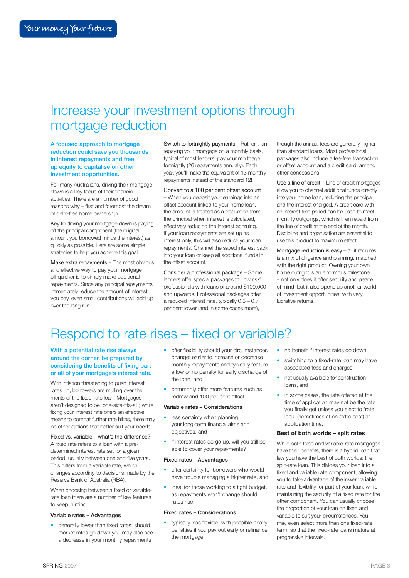# Increase your investment options through mortgage reduction

A focused approach to mortgage reduction could save you thousands in interest repayments and free up equity to capitalise on other investment opportunities.

For many Australians, driving their mortgage down is a key focus of their financial activities. There are a number of good reasons why – first and foremost the dream of debt-free home ownership.

Key to driving your mortgage down is paying off the principal component (the original amount you borrowed minus the interest) as quickly as possible. Here are some simple strategies to help you achieve this goal:

Make extra repayments – The most obvious and effective way to pay your mortgage off quicker is to simply make additional repayments. Since any principal repayments immediately reduce the amount of interest you pay, even small contributions will add up over the long run.

Switch to fortnightly payments – Rather than repaying your mortgage on a monthly basis, typical of most lenders, pay your mortgage fortnightly (26 repayments annually). Each year, you'll make the equivalent of 13 monthly repayments instead of the standard 12!

Convert to a 100 per cent offset account – When you deposit your earnings into an offset account linked to your home loan, the amount is treated as a deduction from the principal when interest is calculated, effectively reducing the interest accruing. If your loan repayments are set up as interest only, this will also reduce your loan repayments. Channel the saved interest back into your loan or keep all additional funds in the offset account.

Consider a professional package – Some lenders offer special packages to 'low risk' professionals with loans of around \$100,000 and upwards. Professional packages offer a reduced interest rate, typically 0.3 – 0.7 per cent lower (and in some cases more),

though the annual fees are generally higher than standard loans. Most professional packages also include a fee-free transaction or offset account and a credit card, among other concessions.

Use a line of credit – Line of credit mortgages allow you to channel additional funds directly into your home loan, reducing the principal and the interest charged. A credit card with an interest-free period can be used to meet monthly outgoings, which is then repaid from the line of credit at the end of the month. Discipline and organisation are essential to use this product to maximum effect.

Mortgage reduction is easy – all it requires is a mix of diligence and planning, matched with the right product. Owning your own home outright is an enormous milestone – not only does it offer security and peace of mind, but it also opens up another world of investment opportunities, with very lucrative returns.

# Respond to rate rises – fixed or variable?

## With a potential rate rise always around the corner, be prepared by considering the benefits of fixing part or all of your mortgage's interest rate.

With inflation threatening to push interest rates up, borrowers are mulling over the merits of the fixed-rate loan. Mortgages aren't designed to be 'one-size-fits-all'; while fixing your interest rate offers an effective means to combat further rate hikes, there may be other options that better suit your needs.

Fixed vs. variable – what's the difference? A fixed rate refers to a loan with a predetermined interest rate set for a given period, usually between one and five years. This differs from a variable rate, which changes according to decisions made by the Reserve Bank of Australia (RBA).

When choosing between a fixed or variablerate loan there are a number of key features to keep in mind:

#### Variable rates – Advantages

• generally lower than fixed rates; should market rates go down you may also see a decrease in your monthly repayments

- offer flexibility should your circumstances change; easier to increase or decrease monthly repayments and typically feature a low or no penalty for early discharge of the loan, and
- commonly offer more features such as redraw and 100 per cent offset

# Variable rates – Considerations

- less certainty when planning your long-term financial aims and objectives, and
- if interest rates do go up, will you still be able to cover your repayments?

#### Fixed rates – Advantages

- offer certainty for borrowers who would have trouble managing a higher rate, and
- ideal for those working to a tight budget, as repayments won't change should rates rise.

#### Fixed rates – Considerations

• typically less flexible, with possible heavy penalties if you pay out early or refinance the mortgage

- no benefit if interest rates go down
- switching to a fixed-rate loan may have associated fees and charges
- not usually available for construction loans, and
- in some cases, the rate offered at the time of application may not be the rate you finally get unless you elect to 'rate lock' (sometimes at an extra cost) at application time.

# Best of both worlds – split rates

While both fixed and variable-rate mortgages have their benefits, there is a hybrid loan that lets you have the best of both worlds: the split-rate loan. This divides your loan into a fixed and variable rate component, allowing you to take advantage of the lower variable rate and flexibility for part of your loan, while maintaining the security of a fixed rate for the other component. You can usually choose the proportion of your loan on fixed and variable to suit your circumstances. You may even select more than one fixed-rate term, so that the fixed-rate loans mature at progressive intervals.